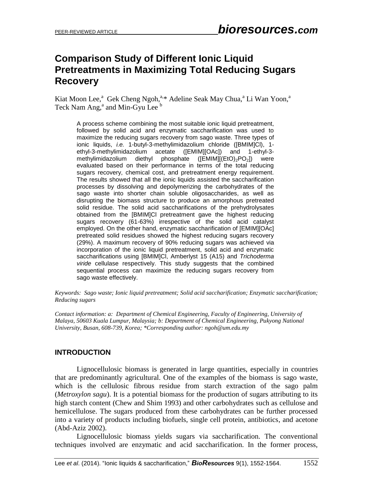# **Comparison Study of Different Ionic Liquid Pretreatments in Maximizing Total Reducing Sugars Recovery**

Kiat Moon Lee,<sup>a</sup> Gek Cheng Ngoh,<sup>a,\*</sup> Adeline Seak May Chua,<sup>a</sup> Li Wan Yoon,<sup>a</sup> Teck Nam Ang,<sup>a</sup> and Min-Gyu Lee b

A process scheme combining the most suitable ionic liquid pretreatment, followed by solid acid and enzymatic saccharification was used to maximize the reducing sugars recovery from sago waste. Three types of ionic liquids, *i.e.* 1-butyl-3-methylimidazolium chloride ([BMIM]Cl), 1 ethyl-3-methylimidazolium acetate ([EMIM][OAc]) and 1-ethyl-3 methylimidazolium diethyl phosphate  $(IEMIM][(EtO)<sub>2</sub>PO<sub>2</sub>]$  were evaluated based on their performance in terms of the total reducing sugars recovery, chemical cost, and pretreatment energy requirement. The results showed that all the ionic liquids assisted the saccharification processes by dissolving and depolymerizing the carbohydrates of the sago waste into shorter chain soluble oligosaccharides, as well as disrupting the biomass structure to produce an amorphous pretreated solid residue. The solid acid saccharifications of the prehydrolysates obtained from the [BMIM]Cl pretreatment gave the highest reducing sugars recovery (61-63%) irrespective of the solid acid catalyst employed. On the other hand, enzymatic saccharification of [EMIM][OAc] pretreated solid residues showed the highest reducing sugars recovery (29%). A maximum recovery of 90% reducing sugars was achieved via incorporation of the ionic liquid pretreatment, solid acid and enzymatic saccharifications using [BMIM]Cl, Amberlyst 15 (A15) and *Trichoderma viride* cellulase respectively. This study suggests that the combined sequential process can maximize the reducing sugars recovery from sago waste effectively.

*Keywords: Sago waste; Ionic liquid pretreatment; Solid acid saccharification; Enzymatic saccharification; Reducing sugars* 

*Contact information: a: Department of Chemical Engineering, Faculty of Engineering, University of Malaya, 50603 Kuala Lumpur, Malaysia; b: Department of Chemical Engineering, Pukyong National University, Busan, 608-739, Korea; \*Corresponding author: ngoh@um.edu.my*

# **INTRODUCTION**

Lignocellulosic biomass is generated in large quantities, especially in countries that are predominantly agricultural. One of the examples of the biomass is sago waste, which is the cellulosic fibrous residue from starch extraction of the sago palm (*Metroxylon sagu*). It is a potential biomass for the production of sugars attributing to its high starch content (Chew and Shim 1993) and other carbohydrates such as cellulose and hemicellulose. The sugars produced from these carbohydrates can be further processed into a variety of products including biofuels, single cell protein, antibiotics, and acetone (Abd-Aziz 2002).

Lignocellulosic biomass yields sugars via saccharification. The conventional techniques involved are enzymatic and acid saccharification. In the former process,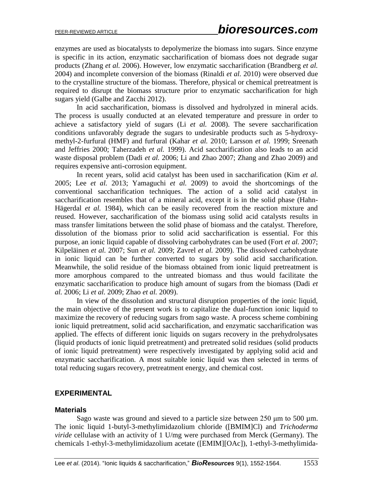enzymes are used as biocatalysts to depolymerize the biomass into sugars. Since enzyme is specific in its action, enzymatic saccharification of biomass does not degrade sugar products (Zhang *et al.* 2006). However, low enzymatic saccharification (Brandberg *et al.* 2004) and incomplete conversion of the biomass (Rinaldi *et al.* 2010) were observed due to the crystalline structure of the biomass. Therefore, physical or chemical pretreatment is required to disrupt the biomass structure prior to enzymatic saccharification for high sugars yield (Galbe and Zacchi 2012).

In acid saccharification, biomass is dissolved and hydrolyzed in mineral acids. The process is usually conducted at an elevated temperature and pressure in order to achieve a satisfactory yield of sugars (Li *et al.* 2008). The severe saccharification conditions unfavorably degrade the sugars to undesirable products such as 5-hydroxymethyl-2-furfural (HMF) and furfural (Kahar *et al.* 2010; Larsson *et al.* 1999; Sreenath and Jeffries 2000; Taherzadeh *et al.* 1999). Acid saccharification also leads to an acid waste disposal problem (Dadi *et al.* 2006; Li and Zhao 2007; Zhang and Zhao 2009) and requires expensive anti-corrosion equipment.

In recent years, solid acid catalyst has been used in saccharification (Kim *et al.* 2005; Lee *et al.* 2013; Yamaguchi *et al.* 2009) to avoid the shortcomings of the conventional saccharification techniques. The action of a solid acid catalyst in saccharification resembles that of a mineral acid, except it is in the solid phase (Hahn-Hägerdal *et al.* 1984), which can be easily recovered from the reaction mixture and reused. However, saccharification of the biomass using solid acid catalysts results in mass transfer limitations between the solid phase of biomass and the catalyst. Therefore, dissolution of the biomass prior to solid acid saccharification is essential. For this purpose, an ionic liquid capable of dissolving carbohydrates can be used (Fort *et al.* 2007; Kilpeläinen *et al.* 2007; Sun *et al.* 2009; Zavrel *et al.* 2009). The dissolved carbohydrate in ionic liquid can be further converted to sugars by solid acid saccharification. Meanwhile, the solid residue of the biomass obtained from ionic liquid pretreatment is more amorphous compared to the untreated biomass and thus would facilitate the enzymatic saccharification to produce high amount of sugars from the biomass (Dadi *et al.* 2006; Li *et al.* 2009; Zhao *et al.* 2009).

In view of the dissolution and structural disruption properties of the ionic liquid, the main objective of the present work is to capitalize the dual-function ionic liquid to maximize the recovery of reducing sugars from sago waste. A process scheme combining ionic liquid pretreatment, solid acid saccharification, and enzymatic saccharification was applied. The effects of different ionic liquids on sugars recovery in the prehydrolysates (liquid products of ionic liquid pretreatment) and pretreated solid residues (solid products of ionic liquid pretreatment) were respectively investigated by applying solid acid and enzymatic saccharification. A most suitable ionic liquid was then selected in terms of total reducing sugars recovery, pretreatment energy, and chemical cost.

### **EXPERIMENTAL**

#### **Materials**

Sago waste was ground and sieved to a particle size between 250 μm to 500 µm. The ionic liquid 1-butyl-3-methylimidazolium chloride ([BMIM]Cl) and *Trichoderma viride* cellulase with an activity of 1 U/mg were purchased from Merck (Germany). The chemicals 1-ethyl-3-methylimidazolium acetate ([EMIM][OAc]), 1-ethyl-3-methylimida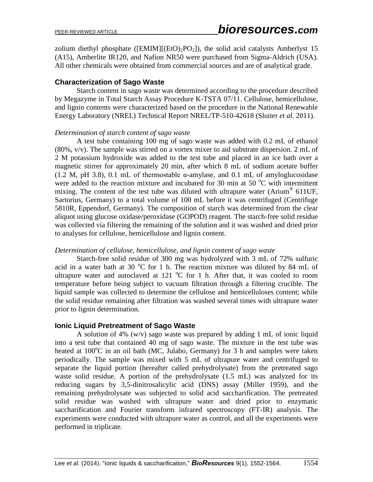zolium diethyl phosphate ([EMIM][(EtO)<sub>2</sub>PO<sub>2</sub>]), the solid acid catalysts Amberlyst 15 (A15), Amberlite IR120, and Nafion NR50 were purchased from Sigma-Aldrich (USA). All other chemicals were obtained from commercial sources and are of analytical grade.

### **Characterization of Sago Waste**

Starch content in sago waste was determined according to the procedure described by Megazyme in Total Starch Assay Procedure K-TSTA 07/11. Cellulose, hemicellulose, and lignin contents were characterized based on the procedure in the National Renewable Energy Laboratory (NREL) Technical Report NREL/TP-510-42618 (Sluiter *et al.* 2011).

#### *Determination of starch content of sago waste*

A test tube containing 100 mg of sago waste was added with 0.2 mL of ethanol (80%, v/v). The sample was stirred on a vortex mixer to aid substrate dispersion. 2 mL of 2 M potassium hydroxide was added to the test tube and placed in an ice bath over a magnetic stirrer for approximately 20 min, after which 8 mL of sodium acetate buffer (1.2 M, pH 3.8), 0.1 mL of thermostable  $\alpha$ -amylase, and 0.1 mL of amyloglucosidase were added to the reaction mixture and incubated for 30 min at 50 $\degree$ C with intermittent mixing. The content of the test tube was diluted with ultrapure water (Arium<sup>®</sup> 611UF, Sartorius, Germany) to a total volume of 100 mL before it was centrifuged (Centrifuge 5810R, Eppendorf, Germany). The composition of starch was determined from the clear aliquot using glucose oxidase/peroxidase (GOPOD) reagent. The starch-free solid residue was collected via filtering the remaining of the solution and it was washed and dried prior to analyses for cellulose, hemicellulose and lignin content.

#### *Determination of cellulose, hemicellulose, and lignin content of sago waste*

Starch-free solid residue of 300 mg was hydrolyzed with 3 mL of 72% sulfuric acid in a water bath at 30  $^{\circ}$ C for 1 h. The reaction mixture was diluted by 84 mL of ultrapure water and autoclaved at 121  $\rm{^{\circ}C}$  for 1 h. After that, it was cooled to room temperature before being subject to vacuum filtration through a filtering crucible. The liquid sample was collected to determine the cellulose and hemicelluloses content; while the solid residue remaining after filtration was washed several times with ultrapure water prior to lignin determination.

#### **Ionic Liquid Pretreatment of Sago Waste**

A solution of 4% (w/v) sago waste was prepared by adding 1 mL of ionic liquid into a test tube that contained 40 mg of sago waste. The mixture in the test tube was heated at  $100^{\circ}$ C in an oil bath (MC, Julabo, Germany) for 3 h and samples were taken periodically. The sample was mixed with 5 mL of ultrapure water and centrifuged to separate the liquid portion (hereafter called prehydrolysate) from the pretreated sago waste solid residue. A portion of the prehydrolysate (1.5 mL) was analyzed for its reducing sugars by 3,5-dinitrosalicylic acid (DNS) assay (Miller 1959), and the remaining prehydrolysate was subjected to solid acid saccharification. The pretreated solid residue was washed with ultrapure water and dried prior to enzymatic saccharification and Fourier transform infrared spectroscopy (FT-IR) analysis. The experiments were conducted with ultrapure water as control, and all the experiments were performed in triplicate.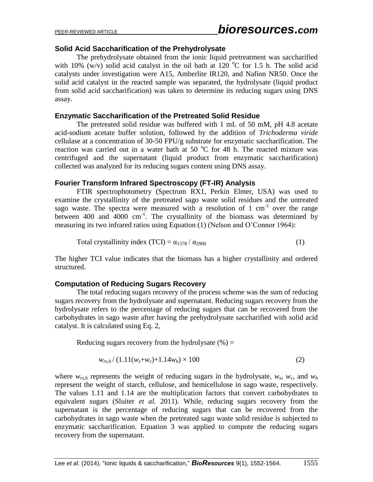# **Solid Acid Saccharification of the Prehydrolysate**

The prehydrolysate obtained from the ionic liquid pretreatment was saccharified with 10% (w/v) solid acid catalyst in the oil bath at 120  $^{\circ}$ C for 1.5 h. The solid acid catalysts under investigation were A15, Amberlite IR120, and Nafion NR50. Once the solid acid catalyst in the reacted sample was separated, the hydrolysate (liquid product from solid acid saccharification) was taken to determine its reducing sugars using DNS assay.

# **Enzymatic Saccharification of the Pretreated Solid Residue**

The pretreated solid residue was buffered with 1 mL of 50 mM, pH 4.8 acetate acid-sodium acetate buffer solution, followed by the addition of *Trichoderma viride* cellulase at a concentration of 30-50 FPU/g substrate for enzymatic saccharification. The reaction was carried out in a water bath at 50  $^{\circ}$ C for 48 h. The reacted mixture was centrifuged and the supernatant (liquid product from enzymatic saccharification) collected was analyzed for its reducing sugars content using DNS assay.

# **Fourier Transform Infrared Spectroscopy (FT-IR) Analysis**

FTIR spectrophotometry (Spectrum RX1, Perkin Elmer, USA) was used to examine the crystallinity of the pretreated sago waste solid residues and the untreated sago waste. The spectra were measured with a resolution of  $1 \text{ cm}^{-1}$  over the range between 400 and  $4000 \text{ cm}^{-1}$ . The crystallinity of the biomass was determined by measuring its two infrared ratios using Equation (1) (Nelson and O'Connor 1964):

Total crystallinity index (TCI) = 
$$
\alpha_{1378} / \alpha_{2900}
$$
 (1)

The higher TCI value indicates that the biomass has a higher crystallinity and ordered structured.

# **Computation of Reducing Sugars Recovery**

The total reducing sugars recovery of the process scheme was the sum of reducing sugars recovery from the hydrolysate and supernatant. Reducing sugars recovery from the hydrolysate refers to the percentage of reducing sugars that can be recovered from the carbohydrates in sago waste after having the prehydrolysate saccharified with solid acid catalyst. It is calculated using Eq. 2,

Reducing sugars recovery from the hydrolysate  $(\% )$  =

$$
w_{rs,h}/(1.11(w_s+w_c)+1.14w_h)\times 100
$$
 (2)

where  $w_{rs,h}$  represents the weight of reducing sugars in the hydrolysate,  $w_s$ ,  $w_c$ , and  $w_h$ represent the weight of starch, cellulose, and hemicellulose in sago waste, respectively. The values 1.11 and 1.14 are the multiplication factors that convert carbohydrates to equivalent sugars (Sluiter *et al.* 2011). While, reducing sugars recovery from the supernatant is the percentage of reducing sugars that can be recovered from the carbohydrates in sago waste when the pretreated sago waste solid residue is subjected to enzymatic saccharification. Equation 3 was applied to compute the reducing sugars recovery from the supernatant.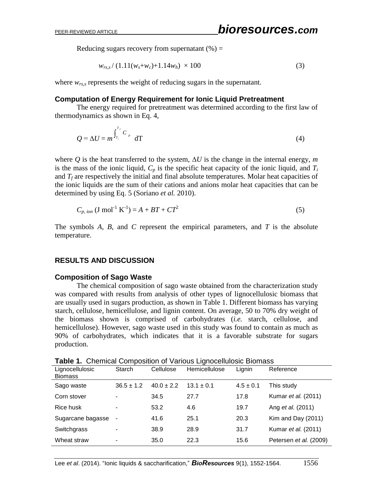Reducing sugars recovery from supernatant  $(\%)$  =

$$
w_{rs,s} / (1.11(w_s + w_c) + 1.14w_h) \times 100
$$
\n(3)

where *wrs,s* represents the weight of reducing sugars in the supernatant.

#### **Computation of Energy Requirement for Ionic Liquid Pretreatment**

The energy required for pretreatment was determined according to the first law of thermodynamics as shown in Eq. 4,

$$
Q = \Delta U = m^{\int_{T_i}^{T_f} C_p} dT
$$
 (4)

where Q is the heat transferred to the system,  $\Delta U$  is the change in the internal energy, m is the mass of the ionic liquid,  $C_p$  is the specific heat capacity of the ionic liquid, and  $T_i$ and  $T_f$  are respectively the initial and final absolute temperatures. Molar heat capacities of the ionic liquids are the sum of their cations and anions molar heat capacities that can be determined by using Eq. 5 (Soriano *et al.* 2010).

$$
C_{p,ion} \text{ (J mol}^{-1} \text{ K}^{-1}) = A + BT + CT^2 \tag{5}
$$

The symbols *A*, *B*, and *C* represent the empirical parameters, and *T* is the absolute temperature.

#### **RESULTS AND DISCUSSION**

#### **Composition of Sago Waste**

The chemical composition of sago waste obtained from the characterization study was compared with results from analysis of other types of lignocellulosic biomass that are usually used in sugars production, as shown in Table 1. Different biomass has varying starch, cellulose, hemicellulose, and lignin content. On average, 50 to 70% dry weight of the biomass shown is comprised of carbohydrates (*i.e.* starch, cellulose, and hemicellulose). However, sago waste used in this study was found to contain as much as 90% of carbohydrates, which indicates that it is a favorable substrate for sugars production.

| Lignocellulosic<br><b>Biomass</b> | Starch         | Cellulose      | Hemicellulose  | Lignin        | Reference              |
|-----------------------------------|----------------|----------------|----------------|---------------|------------------------|
| Sago waste                        | $36.5 \pm 1.2$ | $40.0 \pm 2.2$ | $13.1 \pm 0.1$ | $4.5 \pm 0.1$ | This study             |
| Corn stover                       |                | 34.5           | 27.7           | 17.8          | Kumar et al. (2011)    |
| Rice husk                         |                | 53.2           | 4.6            | 19.7          | Ang et al. (2011)      |
| Sugarcane bagasse                 |                | 41.6           | 25.1           | 20.3          | Kim and Day (2011)     |
| Switchgrass                       |                | 38.9           | 28.9           | 31.7          | Kumar et al. (2011)    |
| Wheat straw                       |                | 35.0           | 22.3           | 15.6          | Petersen et al. (2009) |

**Table 1.** Chemical Composition of Various Lignocellulosic Biomass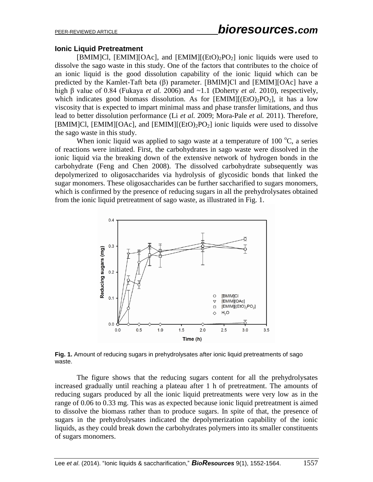### **Ionic Liquid Pretreatment**

[BMIM]Cl, [EMIM][OAc], and [EMIM][(EtO)<sub>2</sub>PO<sub>2</sub>] ionic liquids were used to dissolve the sago waste in this study. One of the factors that contributes to the choice of an ionic liquid is the good dissolution capability of the ionic liquid which can be predicted by the Kamlet-Taft beta (β) parameter. [BMIM]Cl and [EMIM][OAc] have a high β value of 0.84 (Fukaya *et al.* 2006) and ~1.1 (Doherty *et al.* 2010), respectively, which indicates good biomass dissolution. As for  $[EMIM][(EtO)<sub>2</sub>PO<sub>2</sub>]$ , it has a low viscosity that is expected to impart minimal mass and phase transfer limitations, and thus lead to better dissolution performance (Li *et al.* 2009; Mora-Pale *et al.* 2011). Therefore, [BMIM]Cl, [EMIM][OAc], and  $[EMIM]$ [ $(EtO)_{2}PO_{2}$ ] ionic liquids were used to dissolve the sago waste in this study.

When ionic liquid was applied to sago waste at a temperature of 100  $^{\circ}$ C, a series of reactions were initiated. First, the carbohydrates in sago waste were dissolved in the ionic liquid via the breaking down of the extensive network of hydrogen bonds in the carbohydrate (Feng and Chen 2008). The dissolved carbohydrate subsequently was depolymerized to oligosaccharides via hydrolysis of glycosidic bonds that linked the sugar monomers. These oligosaccharides can be further saccharified to sugars monomers, which is confirmed by the presence of reducing sugars in all the prehydrolysates obtained from the ionic liquid pretreatment of sago waste, as illustrated in Fig. 1.



**Fig. 1.** Amount of reducing sugars in prehydrolysates after ionic liquid pretreatments of sago waste.

The figure shows that the reducing sugars content for all the prehydrolysates increased gradually until reaching a plateau after 1 h of pretreatment. The amounts of reducing sugars produced by all the ionic liquid pretreatments were very low as in the range of 0.06 to 0.33 mg. This was as expected because ionic liquid pretreatment is aimed to dissolve the biomass rather than to produce sugars. In spite of that, the presence of sugars in the prehydrolysates indicated the depolymerization capability of the ionic liquids, as they could break down the carbohydrates polymers into its smaller constituents of sugars monomers.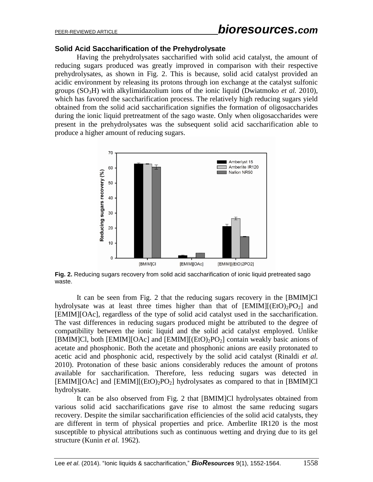### **Solid Acid Saccharification of the Prehydrolysate**

Having the prehydrolysates saccharified with solid acid catalyst, the amount of reducing sugars produced was greatly improved in comparison with their respective prehydrolysates, as shown in Fig. 2. This is because, solid acid catalyst provided an acidic environment by releasing its protons through ion exchange at the catalyst sulfonic groups (SO3H) with alkylimidazolium ions of the ionic liquid (Dwiatmoko *et al.* 2010), which has favored the saccharification process. The relatively high reducing sugars yield obtained from the solid acid saccharification signifies the formation of oligosaccharides during the ionic liquid pretreatment of the sago waste. Only when oligosaccharides were present in the prehydrolysates was the subsequent solid acid saccharification able to produce a higher amount of reducing sugars.



**Fig. 2.** Reducing sugars recovery from solid acid saccharification of ionic liquid pretreated sago waste.

It can be seen from Fig. 2 that the reducing sugars recovery in the [BMIM]Cl hydrolysate was at least three times higher than that of  $[EMIM]$ [ $(EtO)_{2}PO_{2}$ ] and [EMIM][OAc], regardless of the type of solid acid catalyst used in the saccharification. The vast differences in reducing sugars produced might be attributed to the degree of compatibility between the ionic liquid and the solid acid catalyst employed. Unlike [BMIM]Cl, both [EMIM][OAc] and [EMIM][(EtO)<sub>2</sub>PO<sub>2</sub>] contain weakly basic anions of acetate and phosphonic. Both the acetate and phosphonic anions are easily protonated to acetic acid and phosphonic acid, respectively by the solid acid catalyst (Rinaldi *et al.* 2010). Protonation of these basic anions considerably reduces the amount of protons available for saccharification. Therefore, less reducing sugars was detected in  $[EMIM][OAc]$  and  $[EMIM][(EtO)<sub>2</sub>PO<sub>2</sub>]$  hydrolysates as compared to that in  $[BMIM]Cl$ hydrolysate.

It can be also observed from Fig. 2 that [BMIM]Cl hydrolysates obtained from various solid acid saccharifications gave rise to almost the same reducing sugars recovery. Despite the similar saccharification efficiencies of the solid acid catalysts, they are different in term of physical properties and price. Amberlite IR120 is the most susceptible to physical attributions such as continuous wetting and drying due to its gel structure (Kunin *et al.* 1962).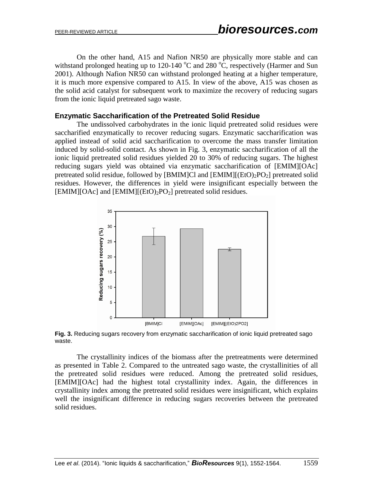On the other hand, A15 and Nafion NR50 are physically more stable and can withstand prolonged heating up to 120-140  $^{\circ}$ C and 280  $^{\circ}$ C, respectively (Harmer and Sun 2001). Although Nafion NR50 can withstand prolonged heating at a higher temperature, it is much more expensive compared to A15. In view of the above, A15 was chosen as the solid acid catalyst for subsequent work to maximize the recovery of reducing sugars from the ionic liquid pretreated sago waste.

### **Enzymatic Saccharification of the Pretreated Solid Residue**

The undissolved carbohydrates in the ionic liquid pretreated solid residues were saccharified enzymatically to recover reducing sugars. Enzymatic saccharification was applied instead of solid acid saccharification to overcome the mass transfer limitation induced by solid-solid contact. As shown in Fig. 3, enzymatic saccharification of all the ionic liquid pretreated solid residues yielded 20 to 30% of reducing sugars. The highest reducing sugars yield was obtained via enzymatic saccharification of [EMIM][OAc] pretreated solid residue, followed by  $[BMIM]Cl$  and  $[EMIM]$  $(EtO)_2PO_2]$  pretreated solid residues. However, the differences in yield were insignificant especially between the  $[EMIM][OAc]$  and  $[EMIM][(EtO)<sub>2</sub>PO<sub>2</sub>]$  pretreated solid residues.



**Fig. 3.** Reducing sugars recovery from enzymatic saccharification of ionic liquid pretreated sago waste.

The crystallinity indices of the biomass after the pretreatments were determined as presented in Table 2. Compared to the untreated sago waste, the crystallinities of all the pretreated solid residues were reduced. Among the pretreated solid residues, [EMIM][OAc] had the highest total crystallinity index. Again, the differences in crystallinity index among the pretreated solid residues were insignificant, which explains well the insignificant difference in reducing sugars recoveries between the pretreated solid residues.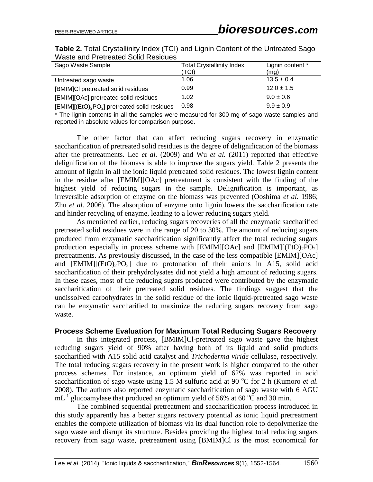| Sago Waste Sample                                                     | <b>Total Crystallinity Index</b> | Lignin content * |
|-----------------------------------------------------------------------|----------------------------------|------------------|
|                                                                       | (TCI)                            | (mg)             |
| Untreated sago waste                                                  | 1.06                             | $13.5 \pm 0.4$   |
| [BMIM]CI pretreated solid residues                                    | 0.99                             | $12.0 \pm 1.5$   |
| [EMIM][OAc] pretreated solid residues                                 | 1.02                             | $9.0 \pm 0.6$    |
| [EMIM][(EtO) <sub>2</sub> PO <sub>2</sub> ] pretreated solid residues | 0.98                             | $9.9 \pm 0.9$    |

**Table 2.** Total Crystallinity Index (TCI) and Lignin Content of the Untreated Sago Waste and Pretreated Solid Residues

\* The lignin contents in all the samples were measured for 300 mg of sago waste samples and reported in absolute values for comparison purpose.

The other factor that can affect reducing sugars recovery in enzymatic saccharification of pretreated solid residues is the degree of delignification of the biomass after the pretreatments. Lee *et al.* (2009) and Wu *et al.* (2011) reported that effective delignification of the biomass is able to improve the sugars yield. Table 2 presents the amount of lignin in all the ionic liquid pretreated solid residues. The lowest lignin content in the residue after [EMIM][OAc] pretreatment is consistent with the finding of the highest yield of reducing sugars in the sample. Delignification is important, as irreversible adsorption of enzyme on the biomass was prevented (Ooshima *et al.* 1986; Zhu *et al.* 2006). The absorption of enzyme onto lignin lowers the saccharification rate and hinder recycling of enzyme, leading to a lower reducing sugars yield.

As mentioned earlier, reducing sugars recoveries of all the enzymatic saccharified pretreated solid residues were in the range of 20 to 30%. The amount of reducing sugars produced from enzymatic saccharification significantly affect the total reducing sugars production especially in process scheme with  $[EMIM][OAc]$  and  $[EMIM][(EtO)<sub>2</sub>PO<sub>2</sub>]$ pretreatments. As previously discussed, in the case of the less compatible [EMIM][OAc] and  $[EMIM][(EtO)<sub>2</sub>PO<sub>2</sub>]$  due to protonation of their anions in A15, solid acid saccharification of their prehydrolysates did not yield a high amount of reducing sugars. In these cases, most of the reducing sugars produced were contributed by the enzymatic saccharification of their pretreated solid residues. The findings suggest that the undissolved carbohydrates in the solid residue of the ionic liquid-pretreated sago waste can be enzymatic saccharified to maximize the reducing sugars recovery from sago waste.

#### **Process Scheme Evaluation for Maximum Total Reducing Sugars Recovery**

In this integrated process, [BMIM]Cl-pretreated sago waste gave the highest reducing sugars yield of 90% after having both of its liquid and solid products saccharified with A15 solid acid catalyst and *Trichoderma viride* cellulase, respectively. The total reducing sugars recovery in the present work is higher compared to the other process schemes. For instance, an optimum yield of 62% was reported in acid saccharification of sago waste using 1.5 M sulfuric acid at 90  $^{\circ}$ C for 2 h (Kumoro *et al.*) 2008). The authors also reported enzymatic saccharification of sago waste with 6 AGU  $mL^{-1}$  glucoamylase that produced an optimum yield of 56% at 60 °C and 30 min.

The combined sequential pretreatment and saccharification process introduced in this study apparently has a better sugars recovery potential as ionic liquid pretreatment enables the complete utilization of biomass via its dual function role to depolymerize the sago waste and disrupt its structure. Besides providing the highest total reducing sugars recovery from sago waste, pretreatment using [BMIM]Cl is the most economical for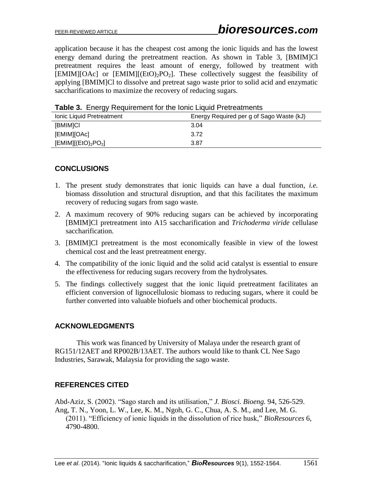application because it has the cheapest cost among the ionic liquids and has the lowest energy demand during the pretreatment reaction. As shown in Table 3, [BMIM]Cl pretreatment requires the least amount of energy, followed by treatment with  $[EMIM][OAc]$  or  $[EMIM][(EtO)<sub>2</sub>PO<sub>2</sub>]$ . These collectively suggest the feasibility of applying [BMIM]Cl to dissolve and pretreat sago waste prior to solid acid and enzymatic saccharifications to maximize the recovery of reducing sugars.

| $\frac{1}{2}$ and $\frac{1}{2}$ . The result of the results of the second state $\frac{1}{2}$ and $\frac{1}{2}$ . The results of the results of the results of the results of the results of the results of the results of the results of the |                                          |  |  |  |
|-----------------------------------------------------------------------------------------------------------------------------------------------------------------------------------------------------------------------------------------------|------------------------------------------|--|--|--|
| Ionic Liquid Pretreatment                                                                                                                                                                                                                     | Energy Required per g of Sago Waste (kJ) |  |  |  |
| [BMIM]CI                                                                                                                                                                                                                                      | 3.04                                     |  |  |  |
| [EMIM][OAc]                                                                                                                                                                                                                                   | 3.72                                     |  |  |  |
| $[EMIM]$ $(E(O)2PO2]$                                                                                                                                                                                                                         | 3.87                                     |  |  |  |

**Table 3.** Fnergy Requirement for the Ionic Liquid Pretreatments

# **CONCLUSIONS**

- 1. The present study demonstrates that ionic liquids can have a dual function, *i.e.* biomass dissolution and structural disruption, and that this facilitates the maximum recovery of reducing sugars from sago waste.
- 2. A maximum recovery of 90% reducing sugars can be achieved by incorporating [BMIM]Cl pretreatment into A15 saccharification and *Trichoderma viride* cellulase saccharification.
- 3. [BMIM]Cl pretreatment is the most economically feasible in view of the lowest chemical cost and the least pretreatment energy.
- 4. The compatibility of the ionic liquid and the solid acid catalyst is essential to ensure the effectiveness for reducing sugars recovery from the hydrolysates.
- 5. The findings collectively suggest that the ionic liquid pretreatment facilitates an efficient conversion of lignocellulosic biomass to reducing sugars, where it could be further converted into valuable biofuels and other biochemical products.

# **ACKNOWLEDGMENTS**

This work was financed by University of Malaya under the research grant of RG151/12AET and RP002B/13AET. The authors would like to thank CL Nee Sago Industries, Sarawak, Malaysia for providing the sago waste.

# **REFERENCES CITED**

Abd-Aziz, S. (2002). "Sago starch and its utilisation," *J. Biosci. Bioeng.* 94, 526-529. Ang, T. N., Yoon, L. W., Lee, K. M., Ngoh, G. C., Chua, A. S. M., and Lee, M. G. (2011). "Efficiency of ionic liquids in the dissolution of rice husk," *BioResources* 6, 4790-4800.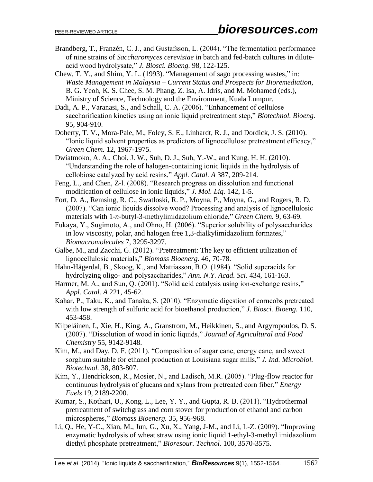- Brandberg, T., Franzén, C. J., and Gustafsson, L. (2004). "The fermentation performance of nine strains of *Saccharomyces cerevisiae* in batch and fed-batch cultures in diluteacid wood hydrolysate," *J. Biosci. Bioeng.* 98, 122-125.
- Chew, T. Y., and Shim, Y. L. (1993). "Management of sago processing wastes," in: *Waste Management in Malaysia – Current Status and Prospects for Bioremediation*, B. G. Yeoh, K. S. Chee, S. M. Phang, Z. Isa, A. Idris, and M. Mohamed (eds.), Ministry of Science, Technology and the Environment, Kuala Lumpur.
- Dadi, A. P., Varanasi, S., and Schall, C. A. (2006). "Enhancement of cellulose saccharification kinetics using an ionic liquid pretreatment step," *Biotechnol. Bioeng.* 95, 904-910.
- Doherty, T. V., Mora-Pale, M., Foley, S. E., Linhardt, R. J., and Dordick, J. S. (2010). "Ionic liquid solvent properties as predictors of lignocellulose pretreatment efficacy," *Green Chem.* 12, 1967-1975.
- Dwiatmoko, A. A., Choi, J. W., Suh, D. J., Suh, Y.-W., and Kung, H. H. (2010). "Understanding the role of halogen-containing ionic liquids in the hydrolysis of cellobiose catalyzed by acid resins," *Appl. Catal. A* 387, 209-214.
- Feng, L., and Chen, Z-l. (2008). "Research progress on dissolution and functional modification of cellulose in ionic liquids," *J. Mol. Liq.* 142, 1-5.
- Fort, D. A., Remsing, R. C., Swatloski, R. P., Moyna, P., Moyna, G., and Rogers, R. D. (2007). "Can ionic liquids dissolve wood? Processing and analysis of lignocellulosic materials with 1-*n*-butyl-3-methylimidazolium chloride," *Green Chem.* 9, 63-69.
- Fukaya, Y., Sugimoto, A., and Ohno, H. (2006). "Superior solubility of polysaccharides in low viscosity, polar, and halogen free 1,3-dialkylimidazolium formates," *Biomacromolecules* 7, 3295-3297.
- Galbe, M., and Zacchi, G. (2012). "Pretreatment: The key to efficient utilization of lignocellulosic materials," *Biomass Bioenerg.* 46, 70-78.
- Hahn-Hägerdal, B., Skoog, K., and Mattiasson, B.O. (1984). "Solid superacids for hydrolyzing oligo- and polysaccharides," *Ann. N.Y. Acad. Sci.* 434, 161-163.
- Harmer, M. A., and Sun, Q. (2001). "Solid acid catalysis using ion-exchange resins," *Appl. Catal. A* 221, 45-62.
- Kahar, P., Taku, K., and Tanaka, S. (2010). "Enzymatic digestion of corncobs pretreated with low strength of sulfuric acid for bioethanol production," *J. Biosci. Bioeng.* 110, 453-458.
- Kilpeläinen, I., Xie, H., King, A., Granstrom, M., Heikkinen, S., and Argyropoulos, D. S. (2007). "Dissolution of wood in ionic liquids," *Journal of Agricultural and Food Chemistry* 55, 9142-9148.
- Kim, M., and Day, D. F. (2011). "Composition of sugar cane, energy cane, and sweet sorghum suitable for ethanol production at Louisiana sugar mills," *J. Ind. Microbiol. Biotechnol.* 38, 803-807.
- Kim, Y., Hendrickson, R., Mosier, N., and Ladisch, M.R. (2005). "Plug-flow reactor for continuous hydrolysis of glucans and xylans from pretreated corn fiber," *Energy Fuels* 19, 2189-2200.
- Kumar, S., Kothari, U., Kong, L., Lee, Y. Y., and Gupta, R. B. (2011). "Hydrothermal pretreatment of switchgrass and corn stover for production of ethanol and carbon microspheres," *Biomass Bioenerg.* 35, 956-968.
- Li, Q., He, Y-C., Xian, M., Jun, G., Xu, X., Yang, J-M., and Li, L-Z. (2009). "Improving enzymatic hydrolysis of wheat straw using ionic liquid 1-ethyl-3-methyl imidazolium diethyl phosphate pretreatment," *Bioresour. Technol.* 100, 3570-3575.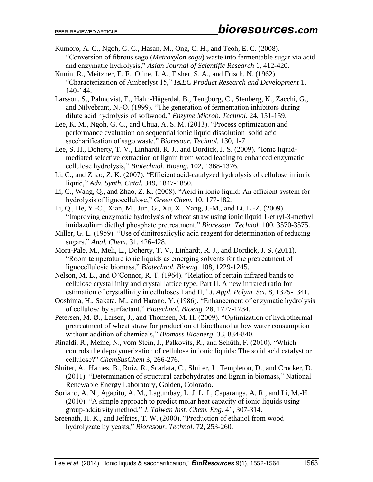- Kumoro, A. C., Ngoh, G. C., Hasan, M., Ong, C. H., and Teoh, E. C. (2008). "Conversion of fibrous sago (*Metroxylon sagu*) waste into fermentable sugar via acid and enzymatic hydrolysis," *Asian Journal of Scientific Research* 1, 412-420.
- Kunin, R., Meitzner, E. F., Oline, J. A., Fisher, S. A., and Frisch, N. (1962). "Characterization of Amberlyst 15," *I&EC Product Research and Development* 1, 140-144.
- Larsson, S., Palmqvist, E., Hahn-Hägerdal, B., Tengborg, C., Stenberg, K., Zacchi, G., and Nilvebrant, N.-O. (1999). "The generation of fermentation inhibitors during dilute acid hydrolysis of softwood," *Enzyme Microb. Technol.* 24, 151-159.
- Lee, K. M., Ngoh, G. C., and Chua, A. S. M. (2013). "Process optimization and performance evaluation on sequential ionic liquid dissolution–solid acid saccharification of sago waste," *Bioresour. Technol.* 130, 1-7.
- Lee, S. H., Doherty, T. V., Linhardt, R. J., and Dordick, J. S. (2009). "Ionic liquidmediated selective extraction of lignin from wood leading to enhanced enzymatic cellulose hydrolysis," *Biotechnol. Bioeng.* 102, 1368-1376.
- Li, C., and Zhao, Z. K. (2007). "Efficient acid-catalyzed hydrolysis of cellulose in ionic liquid," *Adv. Synth. Catal.* 349, 1847-1850.
- Li, C., Wang, Q., and Zhao, Z. K. (2008). "Acid in ionic liquid: An efficient system for hydrolysis of lignocellulose," *Green Chem.* 10, 177-182.
- Li, Q., He, Y.-C., Xian, M., Jun, G., Xu, X., Yang, J.-M., and Li, L.-Z. (2009). "Improving enzymatic hydrolysis of wheat straw using ionic liquid 1-ethyl-3-methyl imidazolium diethyl phosphate pretreatment," *Bioresour. Technol.* 100, 3570-3575.
- Miller, G. L. (1959). "Use of dinitrosalicylic acid reagent for determination of reducing sugars," *Anal. Chem.* 31, 426-428.
- Mora-Pale, M., Meli, L., Doherty, T. V., Linhardt, R. J., and Dordick, J. S. (2011). "Room temperature ionic liquids as emerging solvents for the pretreatment of lignocellulosic biomass," *Biotechnol. Bioeng.* 108, 1229-1245.
- Nelson, M. L., and O'Connor, R. T. (1964). "Relation of certain infrared bands to cellulose crystallinity and crystal lattice type. Part II. A new infrared ratio for estimation of crystallinity in celluloses I and II," *J. Appl. Polym. Sci.* 8, 1325-1341.
- Ooshima, H., Sakata, M., and Harano, Y. (1986). "Enhancement of enzymatic hydrolysis of cellulose by surfactant," *Biotechnol. Bioeng.* 28, 1727-1734.
- Petersen, M. Ø., Larsen, J., and Thomsen, M. H. (2009). "Optimization of hydrothermal pretreatment of wheat straw for production of bioethanol at low water consumption without addition of chemicals," *Biomass Bioenerg.* 33, 834-840.
- Rinaldi, R., Meine, N., vom Stein, J., Palkovits, R., and Schüth, F. (2010). "Which controls the depolymerization of cellulose in ionic liquids: The solid acid catalyst or cellulose?" *ChemSusChem* 3, 266-276.
- Sluiter, A., Hames, B., Ruiz, R., Scarlata, C., Sluiter, J., Templeton, D., and Crocker, D. (2011). "Determination of structural carbohydrates and lignin in biomass," National Renewable Energy Laboratory, Golden, Colorado.
- Soriano, A. N., Agapito, A. M., Lagumbay, L. J. L. I., Caparanga, A. R., and Li, M.-H. (2010). "A simple approach to predict molar heat capacity of ionic liquids using group-additivity method," *J. Taiwan Inst. Chem. Eng.* 41, 307-314.
- Sreenath, H. K., and Jeffries, T. W. (2000). "Production of ethanol from wood hydrolyzate by yeasts," *Bioresour. Technol.* 72, 253-260.